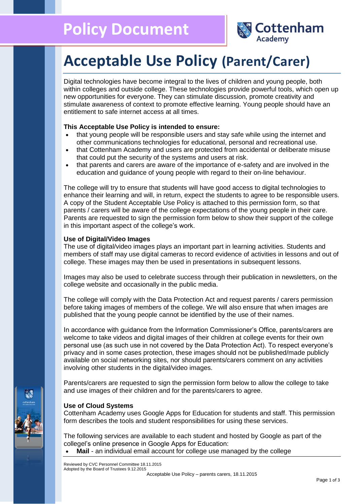

# **Acceptable Use Policy (Parent/Carer)**

Digital technologies have become integral to the lives of children and young people, both within colleges and outside college. These technologies provide powerful tools, which open up new opportunities for everyone. They can stimulate discussion, promote creativity and stimulate awareness of context to promote effective learning. Young people should have an entitlement to safe internet access at all times.

# **This Acceptable Use Policy is intended to ensure:**

- that young people will be responsible users and stay safe while using the internet and other communications technologies for educational, personal and recreational use.
- that Cottenham Academy and users are protected from accidental or deliberate misuse that could put the security of the systems and users at risk.
- that parents and carers are aware of the importance of e-safety and are involved in the education and guidance of young people with regard to their on-line behaviour.

The college will try to ensure that students will have good access to digital technologies to enhance their learning and will, in return, expect the students to agree to be responsible users. A copy of the Student Acceptable Use Policy is attached to this permission form, so that parents / carers will be aware of the college expectations of the young people in their care. Parents are requested to sign the permission form below to show their support of the college in this important aspect of the college's work.

# **Use of Digital/Video Images**

The use of digital/video images plays an important part in learning activities. Students and members of staff may use digital cameras to record evidence of activities in lessons and out of college. These images may then be used in presentations in subsequent lessons.

Images may also be used to celebrate success through their publication in newsletters, on the college website and occasionally in the public media.

The college will comply with the Data Protection Act and request parents / carers permission before taking images of members of the college. We will also ensure that when images are published that the young people cannot be identified by the use of their names.

In accordance with guidance from the Information Commissioner's Office, parents/carers are welcome to take videos and digital images of their children at college events for their own personal use (as such use in not covered by the Data Protection Act). To respect everyone's privacy and in some cases protection, these images should not be published/made publicly available on social networking sites, nor should parents/carers comment on any activities involving other students in the digital/video images.

Parents/carers are requested to sign the permission form below to allow the college to take and use images of their children and for the parents/carers to agree.

# **Use of Cloud Systems**

Cottenham Academy uses Google Apps for Education for students and staff. This permission form describes the tools and student responsibilities for using these services.

The following services are available to each student and hosted by Google as part of the collegel's online presence in Google Apps for Education:

• Mail - an individual email account for college use managed by the college

Reviewed by CVC Personnel Committee 18.11.2015 Adopted by the Board of Trustees 9.12.2015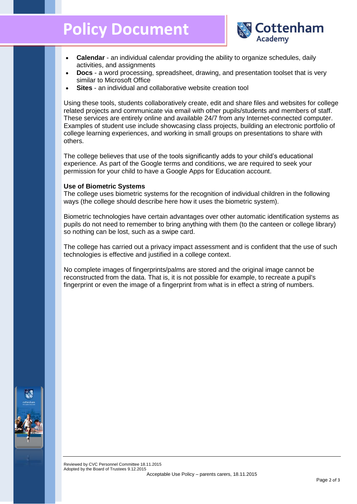# **Policy Document**



- **Calendar**  an individual calendar providing the ability to organize schedules, daily activities, and assignments
- **Docs** a word processing, spreadsheet, drawing, and presentation toolset that is very similar to Microsoft Office
- **Sites** an individual and collaborative website creation tool

Using these tools, students collaboratively create, edit and share files and websites for college related projects and communicate via email with other pupils/students and members of staff. These services are entirely online and available 24/7 from any Internet-connected computer. Examples of student use include showcasing class projects, building an electronic portfolio of college learning experiences, and working in small groups on presentations to share with others.

The college believes that use of the tools significantly adds to your child's educational experience. As part of the Google terms and conditions, we are required to seek your permission for your child to have a Google Apps for Education account.

### **Use of Biometric Systems**

The college uses biometric systems for the recognition of individual children in the following ways (the college should describe here how it uses the biometric system).

Biometric technologies have certain advantages over other automatic identification systems as pupils do not need to remember to bring anything with them (to the canteen or college library) so nothing can be lost, such as a swipe card.

The college has carried out a privacy impact assessment and is confident that the use of such technologies is effective and justified in a college context.

No complete images of fingerprints/palms are stored and the original image cannot be reconstructed from the data. That is, it is not possible for example, to recreate a pupil's fingerprint or even the image of a fingerprint from what is in effect a string of numbers.